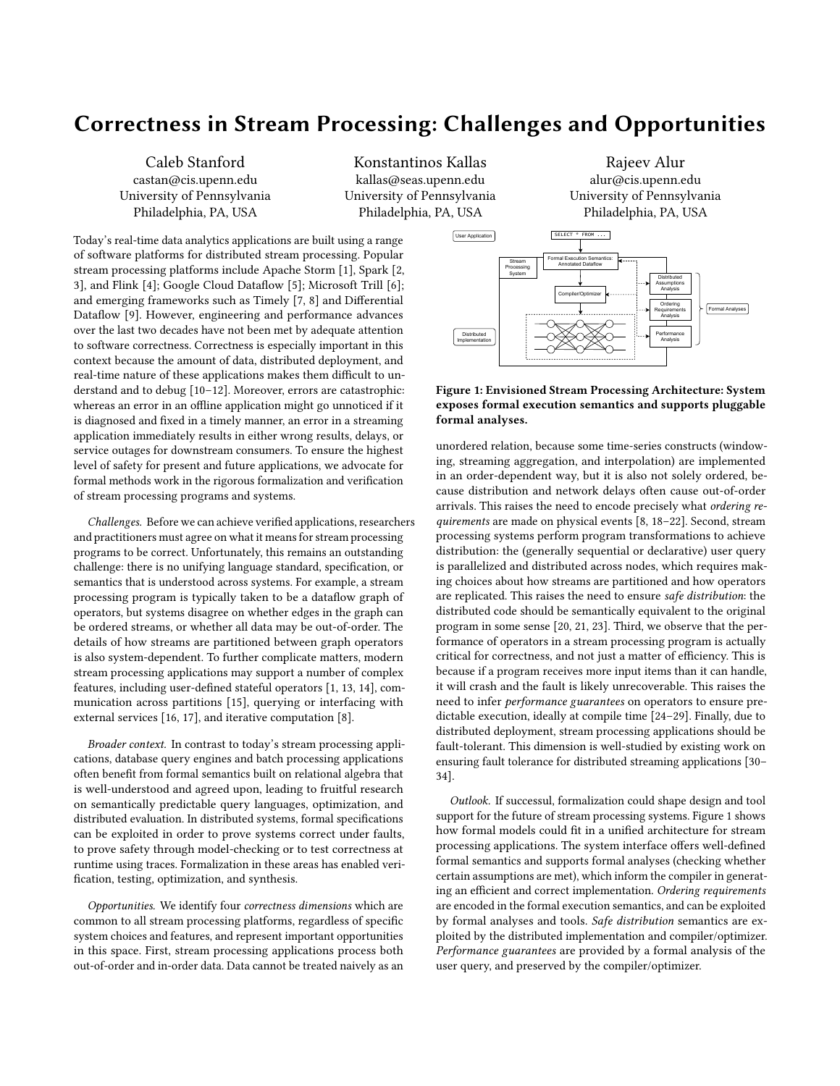# Correctness in Stream Processing: Challenges and Opportunities

Caleb Stanford castan@cis.upenn.edu University of Pennsylvania Philadelphia, PA, USA

Konstantinos Kallas kallas@seas.upenn.edu University of Pennsylvania Philadelphia, PA, USA

Today's real-time data analytics applications are built using a range of software platforms for distributed stream processing. Popular stream processing platforms include Apache Storm [\[1\]](#page-1-0), Spark [\[2,](#page-1-1) [3\]](#page-1-2), and Flink [\[4\]](#page-1-3); Google Cloud Dataflow [\[5\]](#page-1-4); Microsoft Trill [\[6\]](#page-1-5); and emerging frameworks such as Timely [\[7,](#page-1-6) [8\]](#page-1-7) and Differential Dataflow [\[9\]](#page-1-8). However, engineering and performance advances over the last two decades have not been met by adequate attention to software correctness. Correctness is especially important in this context because the amount of data, distributed deployment, and real-time nature of these applications makes them difficult to understand and to debug [\[10–](#page-1-9)[12\]](#page-1-10). Moreover, errors are catastrophic: whereas an error in an offline application might go unnoticed if it is diagnosed and fixed in a timely manner, an error in a streaming application immediately results in either wrong results, delays, or service outages for downstream consumers. To ensure the highest level of safety for present and future applications, we advocate for formal methods work in the rigorous formalization and verification of stream processing programs and systems.

Challenges. Before we can achieve verified applications, researchers and practitioners must agree on what it means for stream processing programs to be correct. Unfortunately, this remains an outstanding challenge: there is no unifying language standard, specification, or semantics that is understood across systems. For example, a stream processing program is typically taken to be a dataflow graph of operators, but systems disagree on whether edges in the graph can be ordered streams, or whether all data may be out-of-order. The details of how streams are partitioned between graph operators is also system-dependent. To further complicate matters, modern stream processing applications may support a number of complex features, including user-defined stateful operators [\[1,](#page-1-0) [13,](#page-1-11) [14\]](#page-1-12), communication across partitions [\[15\]](#page-1-13), querying or interfacing with external services [\[16,](#page-1-14) [17\]](#page-1-15), and iterative computation [\[8\]](#page-1-7).

Broader context. In contrast to today's stream processing applications, database query engines and batch processing applications often benefit from formal semantics built on relational algebra that is well-understood and agreed upon, leading to fruitful research on semantically predictable query languages, optimization, and distributed evaluation. In distributed systems, formal specifications can be exploited in order to prove systems correct under faults, to prove safety through model-checking or to test correctness at runtime using traces. Formalization in these areas has enabled verification, testing, optimization, and synthesis.

Opportunities. We identify four correctness dimensions which are common to all stream processing platforms, regardless of specific system choices and features, and represent important opportunities in this space. First, stream processing applications process both out-of-order and in-order data. Data cannot be treated naively as an

Rajeev Alur alur@cis.upenn.edu University of Pennsylvania Philadelphia, PA, USA

<span id="page-0-0"></span>

### Figure 1: Envisioned Stream Processing Architecture: System exposes formal execution semantics and supports pluggable formal analyses.

unordered relation, because some time-series constructs (windowing, streaming aggregation, and interpolation) are implemented in an order-dependent way, but it is also not solely ordered, because distribution and network delays often cause out-of-order arrivals. This raises the need to encode precisely what ordering requirements are made on physical events [\[8,](#page-1-7) [18](#page-1-16)[–22\]](#page-1-17). Second, stream processing systems perform program transformations to achieve distribution: the (generally sequential or declarative) user query is parallelized and distributed across nodes, which requires making choices about how streams are partitioned and how operators are replicated. This raises the need to ensure safe distribution: the distributed code should be semantically equivalent to the original program in some sense [\[20,](#page-1-18) [21,](#page-1-19) [23\]](#page-1-20). Third, we observe that the performance of operators in a stream processing program is actually critical for correctness, and not just a matter of efficiency. This is because if a program receives more input items than it can handle, it will crash and the fault is likely unrecoverable. This raises the need to infer performance guarantees on operators to ensure predictable execution, ideally at compile time [\[24–](#page-1-21)[29\]](#page-1-22). Finally, due to distributed deployment, stream processing applications should be fault-tolerant. This dimension is well-studied by existing work on ensuring fault tolerance for distributed streaming applications [\[30–](#page-1-23) [34\]](#page-1-24).

Outlook. If successul, formalization could shape design and tool support for the future of stream processing systems. Figure [1](#page-0-0) shows how formal models could fit in a unified architecture for stream processing applications. The system interface offers well-defined formal semantics and supports formal analyses (checking whether certain assumptions are met), which inform the compiler in generating an efficient and correct implementation. Ordering requirements are encoded in the formal execution semantics, and can be exploited by formal analyses and tools. Safe distribution semantics are exploited by the distributed implementation and compiler/optimizer. Performance guarantees are provided by a formal analysis of the user query, and preserved by the compiler/optimizer.